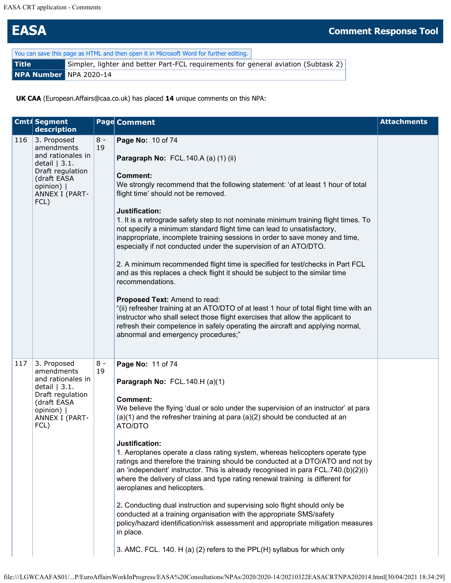## **EASA Comment Response Tool**

| You can save this page as HTML and then open it in Microsoft Word for further editing. |                                                                                    |  |  |  |
|----------------------------------------------------------------------------------------|------------------------------------------------------------------------------------|--|--|--|
| <b>Title</b>                                                                           | Simpler, lighter and better Part-FCL requirements for general aviation (Subtask 2) |  |  |  |
| NPA Number NPA 2020-14                                                                 |                                                                                    |  |  |  |

**UK CAA** (European.Affairs@caa.co.uk) has placed **14** unique comments on this NPA:

|     | Cmt# Segment<br>description                                                                                                                 |             | <b>Page Comment</b>                                                                                                                                                                                                                                                                                                                                                                                                                                                                                                                                                                                                                                                                                                                                                                                                                                                                                                                                                                                                                                                       | <b>Attachments</b> |
|-----|---------------------------------------------------------------------------------------------------------------------------------------------|-------------|---------------------------------------------------------------------------------------------------------------------------------------------------------------------------------------------------------------------------------------------------------------------------------------------------------------------------------------------------------------------------------------------------------------------------------------------------------------------------------------------------------------------------------------------------------------------------------------------------------------------------------------------------------------------------------------------------------------------------------------------------------------------------------------------------------------------------------------------------------------------------------------------------------------------------------------------------------------------------------------------------------------------------------------------------------------------------|--------------------|
| 116 | 3. Proposed<br>amendments<br>and rationales in<br>detail $ 3.1.$<br>Draft regulation<br>(draft EASA<br>opinion)  <br>ANNEX I (PART-<br>FCL) | $8 -$<br>19 | Page No: 10 of 74<br>Paragraph No: FCL.140.A (a) (1) (ii)<br><b>Comment:</b><br>We strongly recommend that the following statement: 'of at least 1 hour of total<br>flight time' should not be removed.<br>Justification:<br>1. It is a retrograde safety step to not nominate minimum training flight times. To<br>not specify a minimum standard flight time can lead to unsatisfactory,<br>inappropriate, incomplete training sessions in order to save money and time,<br>especially if not conducted under the supervision of an ATO/DTO.<br>2. A minimum recommended flight time is specified for test/checks in Part FCL<br>and as this replaces a check flight it should be subject to the similar time<br>recommendations.<br>Proposed Text: Amend to read:<br>"(ii) refresher training at an ATO/DTO of at least 1 hour of total flight time with an<br>instructor who shall select those flight exercises that allow the applicant to<br>refresh their competence in safely operating the aircraft and applying normal,<br>abnormal and emergency procedures;" |                    |
| 117 | 3. Proposed<br>amendments<br>and rationales in<br>detail $ 3.1.$<br>Draft regulation<br>(draft EASA<br>opinion)  <br>ANNEX I (PART-<br>FCL) | $8 -$<br>19 | Page No: 11 of 74<br>Paragraph No: FCL.140.H (a)(1)<br><b>Comment:</b><br>We believe the flying 'dual or solo under the supervision of an instructor' at para<br>$(a)(1)$ and the refresher training at para $(a)(2)$ should be conducted at an<br>ATO/DTO<br>Justification:<br>1. Aeroplanes operate a class rating system, whereas helicopters operate type<br>ratings and therefore the training should be conducted at a DTO/ATO and not by<br>an 'independent' instructor. This is already recognised in para FCL.740.(b)(2)(i)<br>where the delivery of class and type rating renewal training is different for<br>aeroplanes and helicopters.<br>2. Conducting dual instruction and supervising solo flight should only be<br>conducted at a training organisation with the appropriate SMS/safety<br>policy/hazard identification/risk assessment and appropriate mitigation measures<br>in place.<br>3. AMC. FCL. 140. H (a) (2) refers to the PPL(H) syllabus for which only                                                                                    |                    |

```
file:///LGWCAAFAS01/...P/EuroAffairsWorkInProgress/EASA%20Consultations/NPAs/2020/2020-14/20210322EASACRTNPA202014.html[30/04/2021 18:34:29]
```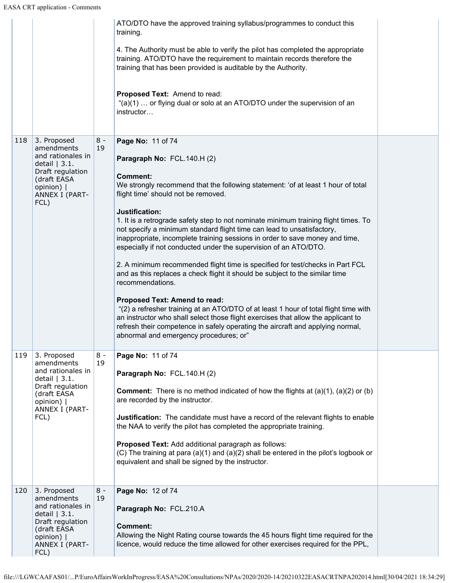| 4. The Authority must be able to verify the pilot has completed the appropriate<br>training. ATO/DTO have the requirement to maintain records therefore the<br>training that has been provided is auditable by the Authority.<br>Proposed Text: Amend to read:<br>"(a)(1)  or flying dual or solo at an ATO/DTO under the supervision of an<br>instructor<br>3. Proposed<br>$8 -$<br>118<br>Page No: 11 of 74<br>19<br>amendments<br>and rationales in<br>Paragraph No: FCL.140.H (2)<br>detail $ 3.1.$<br>Draft regulation<br><b>Comment:</b><br>(draft EASA<br>We strongly recommend that the following statement: 'of at least 1 hour of total<br>opinion)  <br>flight time' should not be removed.<br>ANNEX I (PART-<br>FCL)<br>Justification:<br>1. It is a retrograde safety step to not nominate minimum training flight times. To<br>not specify a minimum standard flight time can lead to unsatisfactory,<br>inappropriate, incomplete training sessions in order to save money and time,<br>especially if not conducted under the supervision of an ATO/DTO.<br>2. A minimum recommended flight time is specified for test/checks in Part FCL<br>and as this replaces a check flight it should be subject to the similar time<br>recommendations.<br><b>Proposed Text: Amend to read:</b><br>"(2) a refresher training at an ATO/DTO of at least 1 hour of total flight time with<br>an instructor who shall select those flight exercises that allow the applicant to<br>refresh their competence in safely operating the aircraft and applying normal,<br>abnormal and emergency procedures; or"<br>119<br>3. Proposed<br>$8 -$<br>Page No: 11 of 74<br>19<br>amendments<br>and rationales in<br>Paragraph No: FCL.140.H (2)<br>detail $ 3.1.$<br>Draft regulation<br><b>Comment:</b> There is no method indicated of how the flights at $(a)(1)$ , $(a)(2)$ or $(b)$<br>(draft EASA<br>are recorded by the instructor.<br>opinion)  <br>ANNEX I (PART-<br>FCL)<br>Justification: The candidate must have a record of the relevant flights to enable<br>the NAA to verify the pilot has completed the appropriate training.<br>Proposed Text: Add additional paragraph as follows:<br>(C) The training at para (a)(1) and (a)(2) shall be entered in the pilot's logbook or<br>equivalent and shall be signed by the instructor.<br>3. Proposed<br>$8 -$<br>120<br>Page No: 12 of 74<br>19<br>amendments<br>and rationales in<br>Paragraph No: FCL.210.A<br>detail $ 3.1.$<br>Draft regulation<br><b>Comment:</b><br>(draft EASA<br>Allowing the Night Rating course towards the 45 hours flight time required for the<br>opinion)  <br>licence, would reduce the time allowed for other exercises required for the PPL,<br>ANNEX I (PART- |  | ATO/DTO have the approved training syllabus/programmes to conduct this<br>training. |  |
|---------------------------------------------------------------------------------------------------------------------------------------------------------------------------------------------------------------------------------------------------------------------------------------------------------------------------------------------------------------------------------------------------------------------------------------------------------------------------------------------------------------------------------------------------------------------------------------------------------------------------------------------------------------------------------------------------------------------------------------------------------------------------------------------------------------------------------------------------------------------------------------------------------------------------------------------------------------------------------------------------------------------------------------------------------------------------------------------------------------------------------------------------------------------------------------------------------------------------------------------------------------------------------------------------------------------------------------------------------------------------------------------------------------------------------------------------------------------------------------------------------------------------------------------------------------------------------------------------------------------------------------------------------------------------------------------------------------------------------------------------------------------------------------------------------------------------------------------------------------------------------------------------------------------------------------------------------------------------------------------------------------------------------------------------------------------------------------------------------------------------------------------------------------------------------------------------------------------------------------------------------------------------------------------------------------------------------------------------------------------------------------------------------------------------------------------------------------------------------------------------------------------------------------------------------------------------------------------------------------------------------------------------------------------------------------------------------------------------------------------------------|--|-------------------------------------------------------------------------------------|--|
|                                                                                                                                                                                                                                                                                                                                                                                                                                                                                                                                                                                                                                                                                                                                                                                                                                                                                                                                                                                                                                                                                                                                                                                                                                                                                                                                                                                                                                                                                                                                                                                                                                                                                                                                                                                                                                                                                                                                                                                                                                                                                                                                                                                                                                                                                                                                                                                                                                                                                                                                                                                                                                                                                                                                                         |  |                                                                                     |  |
|                                                                                                                                                                                                                                                                                                                                                                                                                                                                                                                                                                                                                                                                                                                                                                                                                                                                                                                                                                                                                                                                                                                                                                                                                                                                                                                                                                                                                                                                                                                                                                                                                                                                                                                                                                                                                                                                                                                                                                                                                                                                                                                                                                                                                                                                                                                                                                                                                                                                                                                                                                                                                                                                                                                                                         |  |                                                                                     |  |
|                                                                                                                                                                                                                                                                                                                                                                                                                                                                                                                                                                                                                                                                                                                                                                                                                                                                                                                                                                                                                                                                                                                                                                                                                                                                                                                                                                                                                                                                                                                                                                                                                                                                                                                                                                                                                                                                                                                                                                                                                                                                                                                                                                                                                                                                                                                                                                                                                                                                                                                                                                                                                                                                                                                                                         |  |                                                                                     |  |
|                                                                                                                                                                                                                                                                                                                                                                                                                                                                                                                                                                                                                                                                                                                                                                                                                                                                                                                                                                                                                                                                                                                                                                                                                                                                                                                                                                                                                                                                                                                                                                                                                                                                                                                                                                                                                                                                                                                                                                                                                                                                                                                                                                                                                                                                                                                                                                                                                                                                                                                                                                                                                                                                                                                                                         |  |                                                                                     |  |
|                                                                                                                                                                                                                                                                                                                                                                                                                                                                                                                                                                                                                                                                                                                                                                                                                                                                                                                                                                                                                                                                                                                                                                                                                                                                                                                                                                                                                                                                                                                                                                                                                                                                                                                                                                                                                                                                                                                                                                                                                                                                                                                                                                                                                                                                                                                                                                                                                                                                                                                                                                                                                                                                                                                                                         |  |                                                                                     |  |
|                                                                                                                                                                                                                                                                                                                                                                                                                                                                                                                                                                                                                                                                                                                                                                                                                                                                                                                                                                                                                                                                                                                                                                                                                                                                                                                                                                                                                                                                                                                                                                                                                                                                                                                                                                                                                                                                                                                                                                                                                                                                                                                                                                                                                                                                                                                                                                                                                                                                                                                                                                                                                                                                                                                                                         |  |                                                                                     |  |
|                                                                                                                                                                                                                                                                                                                                                                                                                                                                                                                                                                                                                                                                                                                                                                                                                                                                                                                                                                                                                                                                                                                                                                                                                                                                                                                                                                                                                                                                                                                                                                                                                                                                                                                                                                                                                                                                                                                                                                                                                                                                                                                                                                                                                                                                                                                                                                                                                                                                                                                                                                                                                                                                                                                                                         |  |                                                                                     |  |
|                                                                                                                                                                                                                                                                                                                                                                                                                                                                                                                                                                                                                                                                                                                                                                                                                                                                                                                                                                                                                                                                                                                                                                                                                                                                                                                                                                                                                                                                                                                                                                                                                                                                                                                                                                                                                                                                                                                                                                                                                                                                                                                                                                                                                                                                                                                                                                                                                                                                                                                                                                                                                                                                                                                                                         |  |                                                                                     |  |
|                                                                                                                                                                                                                                                                                                                                                                                                                                                                                                                                                                                                                                                                                                                                                                                                                                                                                                                                                                                                                                                                                                                                                                                                                                                                                                                                                                                                                                                                                                                                                                                                                                                                                                                                                                                                                                                                                                                                                                                                                                                                                                                                                                                                                                                                                                                                                                                                                                                                                                                                                                                                                                                                                                                                                         |  |                                                                                     |  |
|                                                                                                                                                                                                                                                                                                                                                                                                                                                                                                                                                                                                                                                                                                                                                                                                                                                                                                                                                                                                                                                                                                                                                                                                                                                                                                                                                                                                                                                                                                                                                                                                                                                                                                                                                                                                                                                                                                                                                                                                                                                                                                                                                                                                                                                                                                                                                                                                                                                                                                                                                                                                                                                                                                                                                         |  |                                                                                     |  |
|                                                                                                                                                                                                                                                                                                                                                                                                                                                                                                                                                                                                                                                                                                                                                                                                                                                                                                                                                                                                                                                                                                                                                                                                                                                                                                                                                                                                                                                                                                                                                                                                                                                                                                                                                                                                                                                                                                                                                                                                                                                                                                                                                                                                                                                                                                                                                                                                                                                                                                                                                                                                                                                                                                                                                         |  |                                                                                     |  |
|                                                                                                                                                                                                                                                                                                                                                                                                                                                                                                                                                                                                                                                                                                                                                                                                                                                                                                                                                                                                                                                                                                                                                                                                                                                                                                                                                                                                                                                                                                                                                                                                                                                                                                                                                                                                                                                                                                                                                                                                                                                                                                                                                                                                                                                                                                                                                                                                                                                                                                                                                                                                                                                                                                                                                         |  |                                                                                     |  |
|                                                                                                                                                                                                                                                                                                                                                                                                                                                                                                                                                                                                                                                                                                                                                                                                                                                                                                                                                                                                                                                                                                                                                                                                                                                                                                                                                                                                                                                                                                                                                                                                                                                                                                                                                                                                                                                                                                                                                                                                                                                                                                                                                                                                                                                                                                                                                                                                                                                                                                                                                                                                                                                                                                                                                         |  |                                                                                     |  |
|                                                                                                                                                                                                                                                                                                                                                                                                                                                                                                                                                                                                                                                                                                                                                                                                                                                                                                                                                                                                                                                                                                                                                                                                                                                                                                                                                                                                                                                                                                                                                                                                                                                                                                                                                                                                                                                                                                                                                                                                                                                                                                                                                                                                                                                                                                                                                                                                                                                                                                                                                                                                                                                                                                                                                         |  |                                                                                     |  |
|                                                                                                                                                                                                                                                                                                                                                                                                                                                                                                                                                                                                                                                                                                                                                                                                                                                                                                                                                                                                                                                                                                                                                                                                                                                                                                                                                                                                                                                                                                                                                                                                                                                                                                                                                                                                                                                                                                                                                                                                                                                                                                                                                                                                                                                                                                                                                                                                                                                                                                                                                                                                                                                                                                                                                         |  |                                                                                     |  |
| FCL)                                                                                                                                                                                                                                                                                                                                                                                                                                                                                                                                                                                                                                                                                                                                                                                                                                                                                                                                                                                                                                                                                                                                                                                                                                                                                                                                                                                                                                                                                                                                                                                                                                                                                                                                                                                                                                                                                                                                                                                                                                                                                                                                                                                                                                                                                                                                                                                                                                                                                                                                                                                                                                                                                                                                                    |  |                                                                                     |  |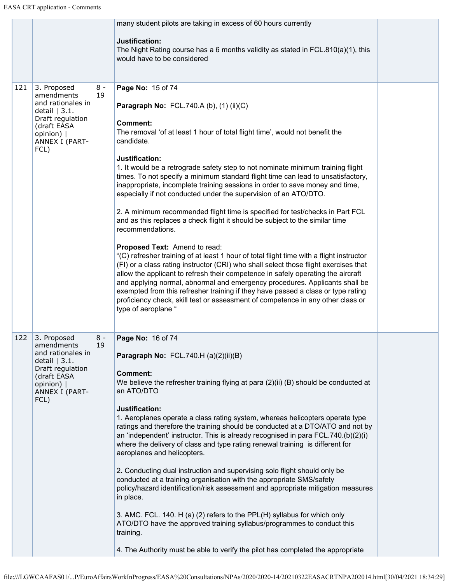|     |                                                                                                                                             |             | many student pilots are taking in excess of 60 hours currently<br>Justification:<br>The Night Rating course has a 6 months validity as stated in FCL.810(a)(1), this<br>would have to be considered                                                                                                                                                                                                                                                                                                                                                                                                                                                                                                                                                                                                                                                                                                                                                                                                                                                                                                                                                                                                                                                                                                    |  |
|-----|---------------------------------------------------------------------------------------------------------------------------------------------|-------------|--------------------------------------------------------------------------------------------------------------------------------------------------------------------------------------------------------------------------------------------------------------------------------------------------------------------------------------------------------------------------------------------------------------------------------------------------------------------------------------------------------------------------------------------------------------------------------------------------------------------------------------------------------------------------------------------------------------------------------------------------------------------------------------------------------------------------------------------------------------------------------------------------------------------------------------------------------------------------------------------------------------------------------------------------------------------------------------------------------------------------------------------------------------------------------------------------------------------------------------------------------------------------------------------------------|--|
| 121 | 3. Proposed<br>amendments<br>and rationales in<br>detail $ 3.1.$<br>Draft regulation<br>(draft EASA<br>opinion)  <br>ANNEX I (PART-<br>FCL) | $8 -$<br>19 | Page No: 15 of 74<br>Paragraph No: FCL.740.A (b), (1) (ii)(C)<br><b>Comment:</b><br>The removal 'of at least 1 hour of total flight time', would not benefit the<br>candidate.<br>Justification:<br>1. It would be a retrograde safety step to not nominate minimum training flight<br>times. To not specify a minimum standard flight time can lead to unsatisfactory,<br>inappropriate, incomplete training sessions in order to save money and time,<br>especially if not conducted under the supervision of an ATO/DTO.<br>2. A minimum recommended flight time is specified for test/checks in Part FCL<br>and as this replaces a check flight it should be subject to the similar time<br>recommendations.<br>Proposed Text: Amend to read:<br>"(C) refresher training of at least 1 hour of total flight time with a flight instructor<br>(FI) or a class rating instructor (CRI) who shall select those flight exercises that<br>allow the applicant to refresh their competence in safely operating the aircraft<br>and applying normal, abnormal and emergency procedures. Applicants shall be<br>exempted from this refresher training if they have passed a class or type rating<br>proficiency check, skill test or assessment of competence in any other class or<br>type of aeroplane " |  |
| 122 | 3. Proposed<br>amendments<br>and rationales in<br>detail $ 3.1.$<br>Draft regulation<br>(draft EASA<br>opinion)  <br>ANNEX I (PART-<br>FCL) | $8 -$<br>19 | Page No: 16 of 74<br>Paragraph No: FCL.740.H (a)(2)(ii)(B)<br><b>Comment:</b><br>We believe the refresher training flying at para (2)(ii) (B) should be conducted at<br>an ATO/DTO<br>Justification:<br>1. Aeroplanes operate a class rating system, whereas helicopters operate type<br>ratings and therefore the training should be conducted at a DTO/ATO and not by<br>an 'independent' instructor. This is already recognised in para FCL.740.(b)(2)(i)<br>where the delivery of class and type rating renewal training is different for<br>aeroplanes and helicopters.<br>2. Conducting dual instruction and supervising solo flight should only be<br>conducted at a training organisation with the appropriate SMS/safety<br>policy/hazard identification/risk assessment and appropriate mitigation measures<br>in place.<br>3. AMC. FCL. 140. H (a) (2) refers to the PPL(H) syllabus for which only<br>ATO/DTO have the approved training syllabus/programmes to conduct this<br>training.<br>4. The Authority must be able to verify the pilot has completed the appropriate                                                                                                                                                                                                               |  |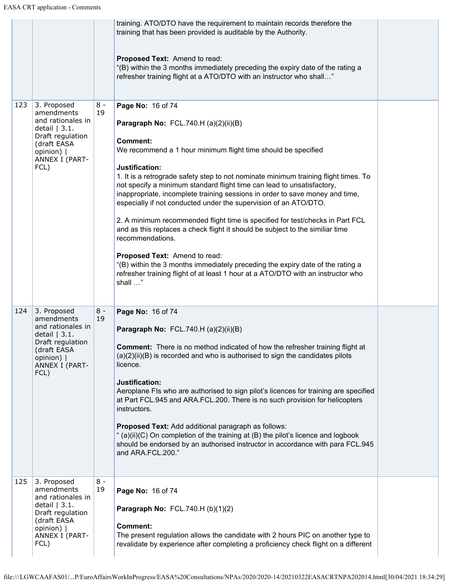|     |                                                                                                                                             |             | training. ATO/DTO have the requirement to maintain records therefore the<br>training that has been provided is auditable by the Authority.                                                                                                                                                                                                                                                                                                                                                                                                                                                                                                                                                                                                                                                                                                                                                    |  |
|-----|---------------------------------------------------------------------------------------------------------------------------------------------|-------------|-----------------------------------------------------------------------------------------------------------------------------------------------------------------------------------------------------------------------------------------------------------------------------------------------------------------------------------------------------------------------------------------------------------------------------------------------------------------------------------------------------------------------------------------------------------------------------------------------------------------------------------------------------------------------------------------------------------------------------------------------------------------------------------------------------------------------------------------------------------------------------------------------|--|
|     |                                                                                                                                             |             | Proposed Text: Amend to read:<br>"(B) within the 3 months immediately preceding the expiry date of the rating a<br>refresher training flight at a ATO/DTO with an instructor who shall"                                                                                                                                                                                                                                                                                                                                                                                                                                                                                                                                                                                                                                                                                                       |  |
| 123 | 3. Proposed<br>amendments<br>and rationales in<br>detail $ 3.1.$<br>Draft regulation<br>(draft EASA<br>opinion)  <br>ANNEX I (PART-<br>FCL) | $8 -$<br>19 | Page No: 16 of 74<br>Paragraph No: FCL.740.H (a)(2)(ii)(B)<br><b>Comment:</b><br>We recommend a 1 hour minimum flight time should be specified<br>Justification:<br>1. It is a retrograde safety step to not nominate minimum training flight times. To<br>not specify a minimum standard flight time can lead to unsatisfactory,<br>inappropriate, incomplete training sessions in order to save money and time,<br>especially if not conducted under the supervision of an ATO/DTO.<br>2. A minimum recommended flight time is specified for test/checks in Part FCL<br>and as this replaces a check flight it should be subject to the similiar time<br>recommendations.<br>Proposed Text: Amend to read:<br>"(B) within the 3 months immediately preceding the expiry date of the rating a<br>refresher training flight of at least 1 hour at a ATO/DTO with an instructor who<br>shall " |  |
| 124 | 3. Proposed<br>amendments<br>and rationales in<br>detail $ 3.1.$<br>Draft regulation<br>(draft EASA<br>opinion)  <br>ANNEX I (PART-<br>FCL) | $8 -$<br>19 | Page No: 16 of 74<br>Paragraph No: FCL.740.H (a)(2)(ii)(B)<br><b>Comment:</b> There is no method indicated of how the refresher training flight at<br>$(a)(2)(ii)(B)$ is recorded and who is authorised to sign the candidates pilots<br>licence.<br>Justification:<br>Aeroplane FIs who are authorised to sign pilot's licences for training are specified<br>at Part FCL.945 and ARA.FCL.200. There is no such provision for helicopters<br>instructors.<br>Proposed Text: Add additional paragraph as follows:<br>" (a)(ii)(C) On completion of the training at (B) the pilot's licence and logbook<br>should be endorsed by an authorised instructor in accordance with para FCL.945<br>and ARA.FCL.200."                                                                                                                                                                                 |  |
| 125 | 3. Proposed<br>amendments<br>and rationales in<br>detail $ 3.1.$<br>Draft regulation<br>(draft EASA<br>opinion)  <br>ANNEX I (PART-<br>FCL) | $8 -$<br>19 | Page No: 16 of 74<br>Paragraph No: FCL.740.H (b)(1)(2)<br><b>Comment:</b><br>The present regulation allows the candidate with 2 hours PIC on another type to<br>revalidate by experience after completing a proficiency check flight on a different                                                                                                                                                                                                                                                                                                                                                                                                                                                                                                                                                                                                                                           |  |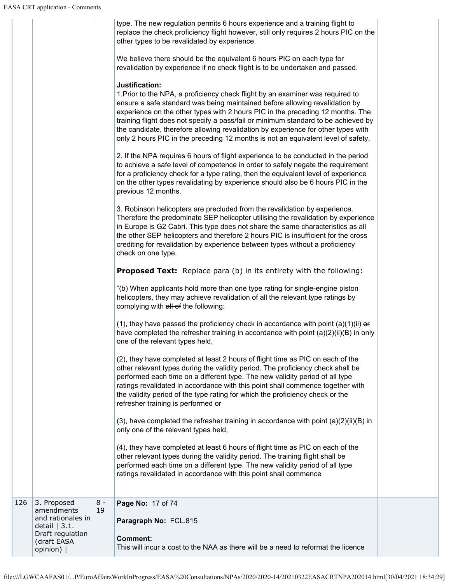|     |                                                                                                                 |             | type. The new regulation permits 6 hours experience and a training flight to<br>replace the check proficiency flight however, still only requires 2 hours PIC on the<br>other types to be revalidated by experience.<br>We believe there should be the equivalent 6 hours PIC on each type for<br>revalidation by experience if no check flight is to be undertaken and passed.<br>Justification:<br>1. Prior to the NPA, a proficiency check flight by an examiner was required to<br>ensure a safe standard was being maintained before allowing revalidation by<br>experience on the other types with 2 hours PIC in the preceding 12 months. The<br>training flight does not specify a pass/fail or minimum standard to be achieved by<br>the candidate, therefore allowing revalidation by experience for other types with<br>only 2 hours PIC in the preceding 12 months is not an equivalent level of safety.<br>2. If the NPA requires 6 hours of flight experience to be conducted in the period<br>to achieve a safe level of competence in order to safely negate the requirement<br>for a proficiency check for a type rating, then the equivalent level of experience<br>on the other types revalidating by experience should also be 6 hours PIC in the<br>previous 12 months.<br>3. Robinson helicopters are precluded from the revalidation by experience.<br>Therefore the predominate SEP helicopter utilising the revalidation by experience<br>in Europe is G2 Cabri. This type does not share the same characteristics as all<br>the other SEP helicopters and therefore 2 hours PIC is insufficient for the cross<br>crediting for revalidation by experience between types without a proficiency<br>check on one type.<br><b>Proposed Text:</b> Replace para (b) in its entirety with the following:<br>"(b) When applicants hold more than one type rating for single-engine piston<br>helicopters, they may achieve revalidation of all the relevant type ratings by<br>complying with all of the following:<br>(1), they have passed the proficiency check in accordance with point $(a)(1)(ii)$ or<br>have completed the refresher training in accordance with point $(a)(2)(ii)(B)$ in only<br>one of the relevant types held,<br>(2), they have completed at least 2 hours of flight time as PIC on each of the<br>other relevant types during the validity period. The proficiency check shall be<br>performed each time on a different type. The new validity period of all type<br>ratings revalidated in accordance with this point shall commence together with<br>the validity period of the type rating for which the proficiency check or the<br>refresher training is performed or<br>$(3)$ , have completed the refresher training in accordance with point $(a)(2)(ii)(B)$ in<br>only one of the relevant types held,<br>(4), they have completed at least 6 hours of flight time as PIC on each of the<br>other relevant types during the validity period. The training flight shall be<br>performed each time on a different type. The new validity period of all type<br>ratings revalidated in accordance with this point shall commence |  |
|-----|-----------------------------------------------------------------------------------------------------------------|-------------|--------------------------------------------------------------------------------------------------------------------------------------------------------------------------------------------------------------------------------------------------------------------------------------------------------------------------------------------------------------------------------------------------------------------------------------------------------------------------------------------------------------------------------------------------------------------------------------------------------------------------------------------------------------------------------------------------------------------------------------------------------------------------------------------------------------------------------------------------------------------------------------------------------------------------------------------------------------------------------------------------------------------------------------------------------------------------------------------------------------------------------------------------------------------------------------------------------------------------------------------------------------------------------------------------------------------------------------------------------------------------------------------------------------------------------------------------------------------------------------------------------------------------------------------------------------------------------------------------------------------------------------------------------------------------------------------------------------------------------------------------------------------------------------------------------------------------------------------------------------------------------------------------------------------------------------------------------------------------------------------------------------------------------------------------------------------------------------------------------------------------------------------------------------------------------------------------------------------------------------------------------------------------------------------------------------------------------------------------------------------------------------------------------------------------------------------------------------------------------------------------------------------------------------------------------------------------------------------------------------------------------------------------------------------------------------------------------------------------------------------------------------------------------------------------------------------------------------------------------------------------------------------------------------------------------------------------------------------------------------------------------------------------------------------------------------------------------------------------------------------------------------------------------------------------------------|--|
|     |                                                                                                                 |             |                                                                                                                                                                                                                                                                                                                                                                                                                                                                                                                                                                                                                                                                                                                                                                                                                                                                                                                                                                                                                                                                                                                                                                                                                                                                                                                                                                                                                                                                                                                                                                                                                                                                                                                                                                                                                                                                                                                                                                                                                                                                                                                                                                                                                                                                                                                                                                                                                                                                                                                                                                                                                                                                                                                                                                                                                                                                                                                                                                                                                                                                                                                                                                                      |  |
| 126 | 3. Proposed<br>amendments<br>and rationales in<br>detail $ 3.1.$<br>Draft regulation<br>(draft EASA<br>opinion) | $8 -$<br>19 | Page No: 17 of 74<br>Paragraph No: FCL.815<br><b>Comment:</b><br>This will incur a cost to the NAA as there will be a need to reformat the licence                                                                                                                                                                                                                                                                                                                                                                                                                                                                                                                                                                                                                                                                                                                                                                                                                                                                                                                                                                                                                                                                                                                                                                                                                                                                                                                                                                                                                                                                                                                                                                                                                                                                                                                                                                                                                                                                                                                                                                                                                                                                                                                                                                                                                                                                                                                                                                                                                                                                                                                                                                                                                                                                                                                                                                                                                                                                                                                                                                                                                                   |  |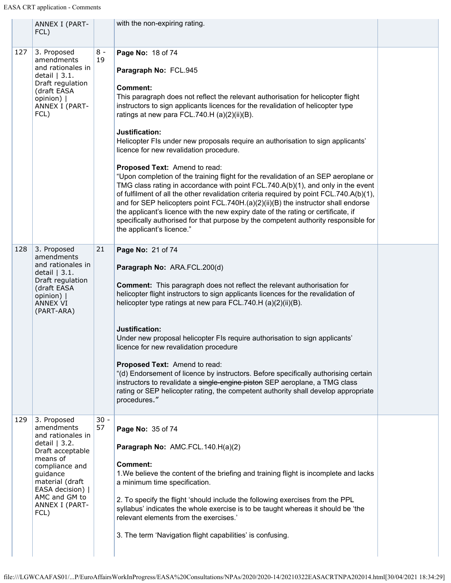|     | ANNEX I (PART-<br>FCL)                                                                                                                                                                                           |              | with the non-expiring rating.                                                                                                                                                                                                                                                                                                                                                                                                                                                                                                                                                                                                                                                                                                                                                                                                                                                                                                                                                                                                             |  |
|-----|------------------------------------------------------------------------------------------------------------------------------------------------------------------------------------------------------------------|--------------|-------------------------------------------------------------------------------------------------------------------------------------------------------------------------------------------------------------------------------------------------------------------------------------------------------------------------------------------------------------------------------------------------------------------------------------------------------------------------------------------------------------------------------------------------------------------------------------------------------------------------------------------------------------------------------------------------------------------------------------------------------------------------------------------------------------------------------------------------------------------------------------------------------------------------------------------------------------------------------------------------------------------------------------------|--|
| 127 | 3. Proposed<br>amendments<br>and rationales in<br>detail $ 3.1.$<br>Draft regulation<br>(draft EASA<br>opinion)  <br>ANNEX I (PART-<br>FCL)                                                                      | $8 -$<br>19  | Page No: 18 of 74<br>Paragraph No: FCL.945<br><b>Comment:</b><br>This paragraph does not reflect the relevant authorisation for helicopter flight<br>instructors to sign applicants licences for the revalidation of helicopter type<br>ratings at new para FCL.740.H (a)(2)(ii)(B).<br>Justification:<br>Helicopter FIs under new proposals require an authorisation to sign applicants'<br>licence for new revalidation procedure.<br>Proposed Text: Amend to read:<br>"Upon completion of the training flight for the revalidation of an SEP aeroplane or<br>TMG class rating in accordance with point FCL.740.A(b)(1), and only in the event<br>of fulfilment of all the other revalidation criteria required by point FCL.740.A(b)(1),<br>and for SEP helicopters point FCL.740H.(a)(2)(ii)(B) the instructor shall endorse<br>the applicant's licence with the new expiry date of the rating or certificate, if<br>specifically authorised for that purpose by the competent authority responsible for<br>the applicant's licence." |  |
| 128 | 3. Proposed<br>amendments<br>and rationales in<br>detail $ 3.1.$<br>Draft regulation<br>(draft EASA<br>opinion)  <br><b>ANNEX VI</b><br>(PART-ARA)                                                               | 21           | Page No: 21 of 74<br>Paragraph No: ARA.FCL.200(d)<br><b>Comment:</b> This paragraph does not reflect the relevant authorisation for<br>helicopter flight instructors to sign applicants licences for the revalidation of<br>helicopter type ratings at new para FCL.740.H (a)(2)(ii)(B).<br>Justification:<br>Under new proposal helicopter FIs require authorisation to sign applicants'<br>licence for new revalidation procedure<br>Proposed Text: Amend to read:<br>"(d) Endorsement of licence by instructors. Before specifically authorising certain<br>instructors to revalidate a single-engine piston SEP aeroplane, a TMG class<br>rating or SEP helicopter rating, the competent authority shall develop appropriate<br>procedures."                                                                                                                                                                                                                                                                                          |  |
| 129 | 3. Proposed<br>amendments<br>and rationales in<br>detail $ 3.2.$<br>Draft acceptable<br>means of<br>compliance and<br>guidance<br>material (draft<br>EASA decision)  <br>AMC and GM to<br>ANNEX I (PART-<br>FCL) | $30 -$<br>57 | Page No: 35 of 74<br>Paragraph No: AMC.FCL.140.H(a)(2)<br><b>Comment:</b><br>1. We believe the content of the briefing and training flight is incomplete and lacks<br>a minimum time specification.<br>2. To specify the flight 'should include the following exercises from the PPL<br>syllabus' indicates the whole exercise is to be taught whereas it should be 'the<br>relevant elements from the exercises.'<br>3. The term 'Navigation flight capabilities' is confusing.                                                                                                                                                                                                                                                                                                                                                                                                                                                                                                                                                          |  |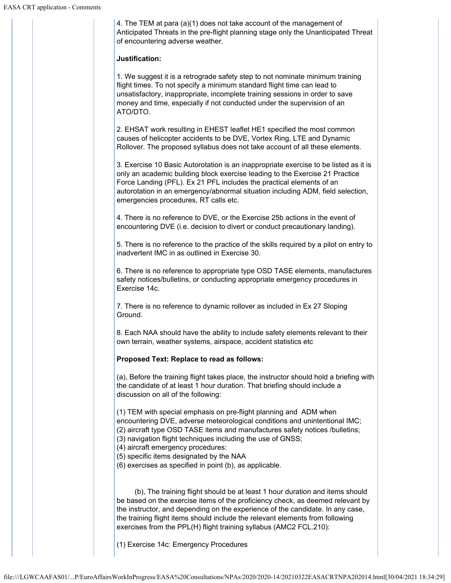4. The TEM at para (a)(1) does not take account of the management of Anticipated Threats in the pre-flight planning stage only the Unanticipated Threat of encountering adverse weather.

## **Justification:**

1. We suggest it is a retrograde safety step to not nominate minimum training flight times. To not specify a minimum standard flight time can lead to unsatisfactory, inappropriate, incomplete training sessions in order to save money and time, especially if not conducted under the supervision of an ATO/DTO.

2. EHSAT work resulting in EHEST leaflet HE1 specified the most common causes of helicopter accidents to be DVE, Vortex Ring, LTE and Dynamic Rollover. The proposed syllabus does not take account of all these elements.

3. Exercise 10 Basic Autorotation is an inappropriate exercise to be listed as it is only an academic building block exercise leading to the Exercise 21 Practice Force Landing (PFL). Ex 21 PFL includes the practical elements of an autorotation in an emergency/abnormal situation including ADM, field selection, emergencies procedures, RT calls etc.

4. There is no reference to DVE, or the Exercise 25b actions in the event of encountering DVE (i.e. decision to divert or conduct precautionary landing).

5. There is no reference to the practice of the skills required by a pilot on entry to inadvertent IMC in as outlined in Exercise 30.

6. There is no reference to appropriate type OSD TASE elements, manufactures safety notices/bulletins, or conducting appropriate emergency procedures in Exercise 14c.

7. There is no reference to dynamic rollover as included in Ex 27 Sloping Ground.

8. Each NAA should have the ability to include safety elements relevant to their own terrain, weather systems, airspace, accident statistics etc

## **Proposed Text: Replace to read as follows:**

(a), Before the training flight takes place, the instructor should hold a briefing with the candidate of at least 1 hour duration. That briefing should include a discussion on all of the following:

(1) TEM with special emphasis on pre-flight planning and ADM when encountering DVE, adverse meteorological conditions and unintentional IMC; (2) aircraft type OSD TASE items and manufactures safety notices /bulletins; (3) navigation flight techniques including the use of GNSS;

(4) aircraft emergency procedures:

(5) specific items designated by the NAA

(6) exercises as specified in point (b), as applicable.

(b), The training flight should be at least 1 hour duration and items should be based on the exercise items of the proficiency check, as deemed relevant by the instructor, and depending on the experience of the candidate. In any case, the training flight items should include the relevant elements from following exercises from the PPL(H) flight training syllabus (AMC2 FCL.210):

(1) Exercise 14c: Emergency Procedures